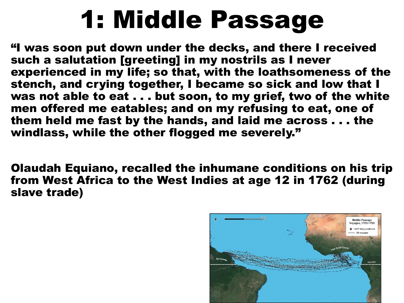# 1: Middle Passage

"I was soon put down under the decks, and there I received such a salutation [greeting] in my nostrils as I never experienced in my life; so that, with the loathsomeness of the stench, and crying together, I became so sick and low that I was not able to eat . . . but soon, to my grief, two of the white men offered me eatables; and on my refusing to eat, one of them held me fast by the hands, and laid me across . . . the windlass, while the other flogged me severely."

Olaudah Equiano, recalled the inhumane conditions on his trip from West Africa to the West Indies at age 12 in 1762 (during slave trade)

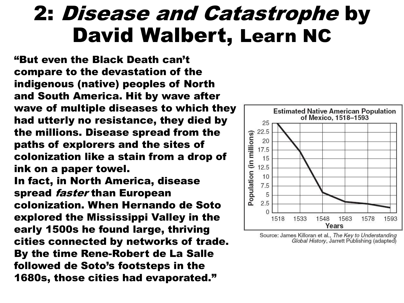### 2: Disease and Catastrophe by David Walbert, Learn NC

"But even the Black Death can't compare to the devastation of the indigenous (native) peoples of North and South America. Hit by wave after wave of multiple diseases to which they had utterly no resistance, they died by the millions. Disease spread from the paths of explorers and the sites of colonization like a stain from a drop of ink on a paper towel. In fact, in North America, disease spread faster than European colonization. When Hernando de Soto explored the Mississippi Valley in the early 1500s he found large, thriving cities connected by networks of trade. By the time Rene-Robert de La Salle followed de Soto's footsteps in the 1680s, those cities had evaporated."



Source: James Killoran et al., The Key to Understanding Global History, Jarrett Publishing (adapted)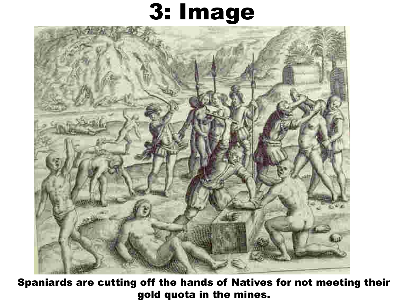## 3: Image



Spaniards are cutting off the hands of Natives for not meeting their gold quota in the mines.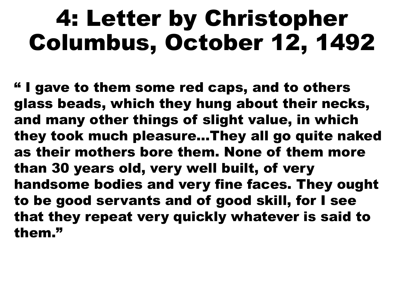## 4: Letter by Christopher Columbus, October 12, 1492

" I gave to them some red caps, and to others glass beads, which they hung about their necks, and many other things of slight value, in which they took much pleasure…They all go quite naked as their mothers bore them. None of them more than 30 years old, very well built, of very handsome bodies and very fine faces. They ought to be good servants and of good skill, for I see that they repeat very quickly whatever is said to them."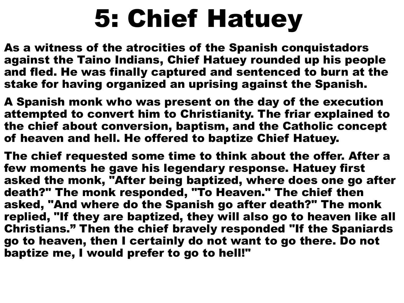# 5: Chief Hatuey

As a witness of the atrocities of the Spanish conquistadors against the Taino Indians, Chief Hatuey rounded up his people and fled. He was finally captured and sentenced to burn at the stake for having organized an uprising against the Spanish.

A Spanish monk who was present on the day of the execution attempted to convert him to Christianity. The friar explained to the chief about conversion, baptism, and the Catholic concept of heaven and hell. He offered to baptize Chief Hatuey.

The chief requested some time to think about the offer. After a few moments he gave his legendary response. Hatuey first asked the monk, "After being baptized, where does one go after death?" The monk responded, "To Heaven." The chief then asked, "And where do the Spanish go after death?" The monk replied, "If they are baptized, they will also go to heaven like all Christians." Then the chief bravely responded "If the Spaniards go to heaven, then I certainly do not want to go there. Do not baptize me, I would prefer to go to hell!"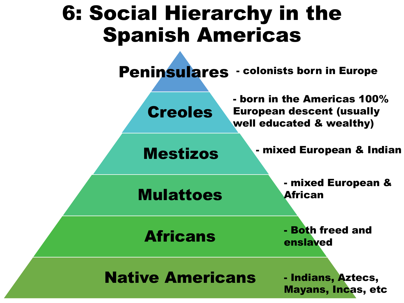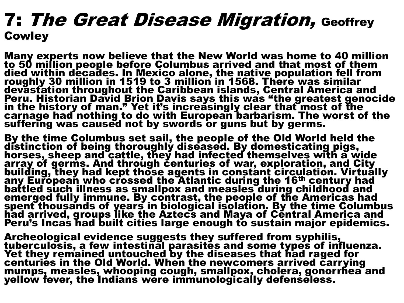#### **7: The Great Disease Migration, Geoffrey Cowley**

Many experts now believe that the New World was home to 40 million to 50 million people before Columbus arrived and that most of them died within decades. In Mexico alone, the native population fell from roughly 30 million in 1519 to 3 million in 1568. There was similar devastation throughout the Caribbean islands, Central America and Peru. Historian David Brion Davis says this was "the greatest genocide in the history of man." Yet it's increasingly clear that most of the carnage had nothing to do with European barbarism. The worst of the suffering was caused not by swords or guns but by germs.

By the time Columbus set sail, the people of the Old World held the distinction of being thoroughly diseased. By domesticating pigs, horses, sheep and cattle, they had infected themselves with a wide array of germs. And through centuries of war, exploration, and City building, they had kept those agents in constant circulation. Virtually any European who crossed the Atlantic during the 16th century had battled such illness as smallpox and measles during childhood and emerged fully immune. By contrast, the people of the Americas had spent thousands of years in biological isolation. By the time Columbus had arrived, groups like the Aztecs and Maya of Central America and Peru's Incas had built cities large enough to sustain major epidemics.

Archeological evidence suggests they suffered from syphilis, tuberculosis, a few intestinal parasites and some types of influenza. Yet they remained untouched by the diseases that had raged for centuries in the Old World. When the newcomers arrived carrying mumps, measles, whooping cough, smallpox, cholera, gonorrhea and yellow fever, the Indians were immunologically defenseless.